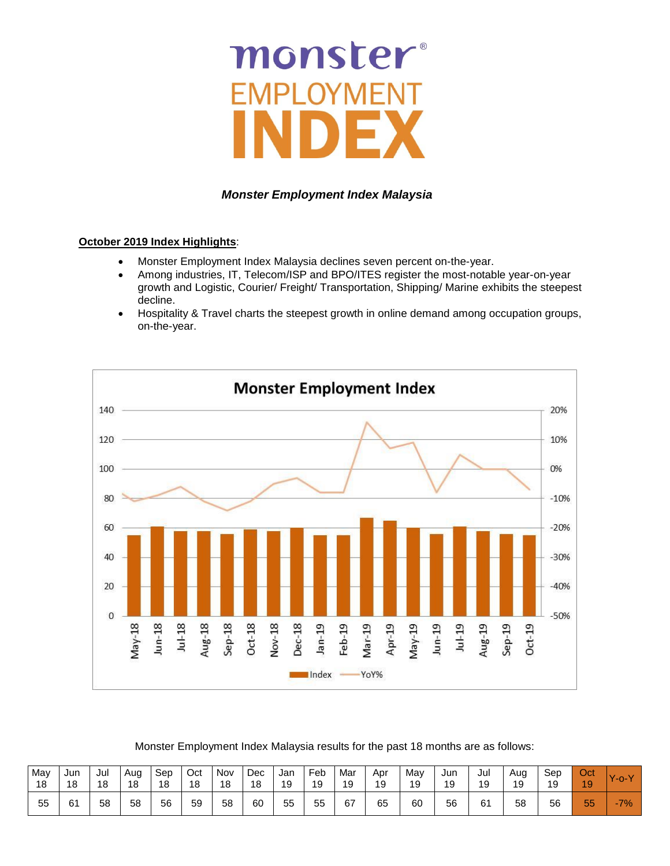# monster

# *Monster Employment Index Malaysia*

## **October 2019 Index Highlights**:

- Monster Employment Index Malaysia declines seven percent on-the-year.
- Among industries, IT, Telecom/ISP and BPO/ITES register the most-notable year-on-year growth and Logistic, Courier/ Freight/ Transportation, Shipping/ Marine exhibits the steepest decline.
- Hospitality & Travel charts the steepest growth in online demand among occupation groups, on-the-year.



Monster Employment Index Malaysia results for the past 18 months are as follows:

| May | Jun | Jul | Aug | Sep | Oct | Nov | Dec | Jan | Feb | Mar | Apr | May | Jun | Jul | Aug | Sep | Oct      | Y-o-Y  |
|-----|-----|-----|-----|-----|-----|-----|-----|-----|-----|-----|-----|-----|-----|-----|-----|-----|----------|--------|
| 18  | 18  | 18  | 18  | 18  | 18  | 18  | 18  | 19  | 19  | 19  | 19  | 19  | 19  | 19  | 19  | 19  | 19       |        |
| 55  | 61  | 58  | 58  | 56  | 59  | 58  | 60  | 55  | 55  | 67  | 65  | 60  | 56  | 61  | 58  | 56  | --<br>55 | $-7\%$ |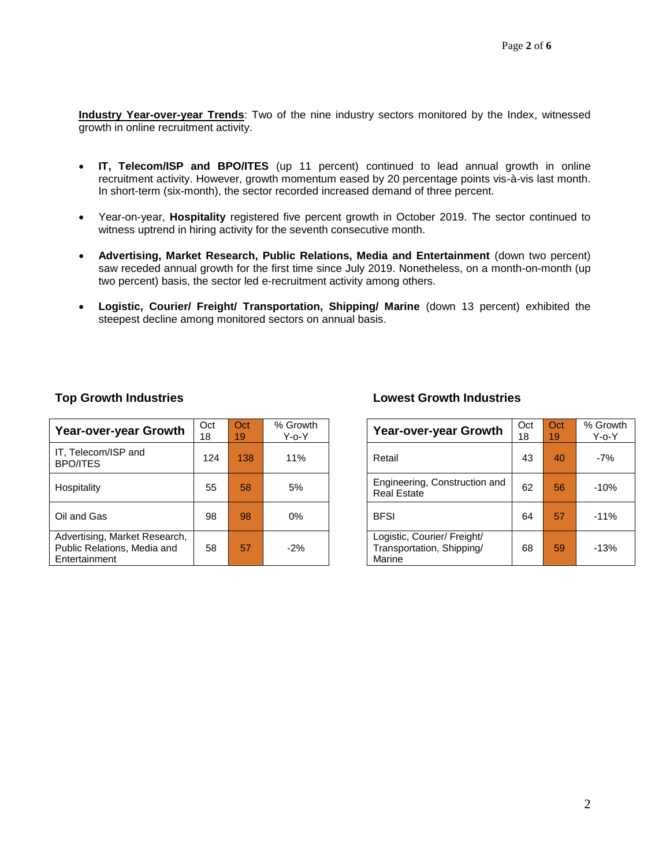**Industry Year-over-year Trends**: Two of the nine industry sectors monitored by the Index, witnessed growth in online recruitment activity.

- **IT, Telecom/ISP and BPO/ITES** (up 11 percent) continued to lead annual growth in online recruitment activity. However, growth momentum eased by 20 percentage points vis-à-vis last month. In short-term (six-month), the sector recorded increased demand of three percent.
- Year-on-year, **Hospitality** registered five percent growth in October 2019. The sector continued to witness uptrend in hiring activity for the seventh consecutive month.
- **Advertising, Market Research, Public Relations, Media and Entertainment** (down two percent) saw receded annual growth for the first time since July 2019. Nonetheless, on a month-on-month (up two percent) basis, the sector led e-recruitment activity among others.
- **Logistic, Courier/ Freight/ Transportation, Shipping/ Marine** (down 13 percent) exhibited the steepest decline among monitored sectors on annual basis.

| Year-over-year Growth                                                         | Oct<br>18 | Oct<br>19 | % Growth<br>$Y$ -o- $Y$ | Year-over-year Growth                                              | Oct<br>18 | Oct<br>19 <sup>1</sup> | % Grov<br>$Y$ -0- $Y$ |
|-------------------------------------------------------------------------------|-----------|-----------|-------------------------|--------------------------------------------------------------------|-----------|------------------------|-----------------------|
| IT, Telecom/ISP and<br><b>BPO/ITES</b>                                        | 124       | 138       | 11%                     | Retail                                                             | 43        | 40                     | $-7%$                 |
| Hospitality                                                                   | 55        | 58        | 5%                      | Engineering, Construction and<br><b>Real Estate</b>                | 62        | 56                     | $-10%$                |
| Oil and Gas                                                                   | 98        | 98        | $0\%$                   | <b>BFSI</b>                                                        | 64        | 57                     | $-11%$                |
| Advertising, Market Research,<br>Public Relations, Media and<br>Entertainment | 58        | 57        | $-2%$                   | Logistic, Courier/ Freight/<br>Transportation, Shipping/<br>Marine | 68        | 59                     | $-13%$                |

# **Top Growth Industries Lowest Growth Industries**

| <b>Year-over-year Growth</b>                                       | Oct<br>18 | Oct<br>19 | % Growth<br>$Y$ -o- $Y$ |
|--------------------------------------------------------------------|-----------|-----------|-------------------------|
| Retail                                                             | 43        | 40        | $-7%$                   |
| Engineering, Construction and<br><b>Real Estate</b>                | 62        | 56        | $-10%$                  |
| <b>BFSI</b>                                                        | 64        | 57        | $-11%$                  |
| Logistic, Courier/ Freight/<br>Transportation, Shipping/<br>Marine | 68        | 59        | $-13%$                  |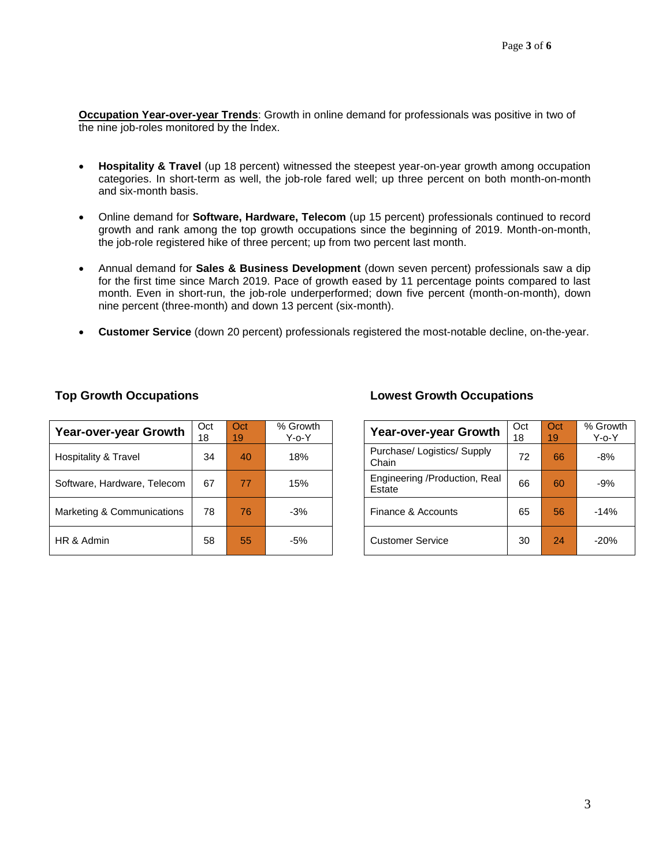**Occupation Year-over-year Trends**: Growth in online demand for professionals was positive in two of the nine job-roles monitored by the Index.

- **Hospitality & Travel** (up 18 percent) witnessed the steepest year-on-year growth among occupation categories. In short-term as well, the job-role fared well; up three percent on both month-on-month and six-month basis.
- Online demand for **Software, Hardware, Telecom** (up 15 percent) professionals continued to record growth and rank among the top growth occupations since the beginning of 2019. Month-on-month, the job-role registered hike of three percent; up from two percent last month.
- Annual demand for **Sales & Business Development** (down seven percent) professionals saw a dip for the first time since March 2019. Pace of growth eased by 11 percentage points compared to last month. Even in short-run, the job-role underperformed; down five percent (month-on-month), down nine percent (three-month) and down 13 percent (six-month).
- **Customer Service** (down 20 percent) professionals registered the most-notable decline, on-the-year.

| Year-over-year Growth       | Oct<br>18 | Oct<br>19 | % Growth<br>$Y$ -o- $Y$ | Year-over-year Growth                   | Oct<br>18 | Oct<br>19 | % Grov<br>$Y$ -o- $Y$ |
|-----------------------------|-----------|-----------|-------------------------|-----------------------------------------|-----------|-----------|-----------------------|
| Hospitality & Travel        | 34        | 40        | 18%                     | Purchase/ Logistics/ Supply<br>Chain    | 72        | 66        | $-8%$                 |
| Software, Hardware, Telecom | 67        | 77        | 15%                     | Engineering /Production, Real<br>Estate | 66        | 60        | $-9%$                 |
| Marketing & Communications  | 78        | 76        | $-3%$                   | Finance & Accounts                      | 65        | 56        | $-14%$                |
| HR & Admin                  | 58        | 55        | $-5%$                   | <b>Customer Service</b>                 | 30        | 24        | $-20%$                |

# **Top Growth Occupations Lowest Growth Occupations**

| <b>Year-over-year Growth</b>            | Oct<br>18 | Oct<br>19 | % Growth<br>$Y$ -o- $Y$ |
|-----------------------------------------|-----------|-----------|-------------------------|
| Purchase/Logistics/Supply<br>Chain      | 72        | 66        | $-8%$                   |
| Engineering /Production, Real<br>Estate | 66        | 60        | -9%                     |
| Finance & Accounts                      | 65        | 56        | $-14%$                  |
| <b>Customer Service</b>                 | 30        | 24        | $-20%$                  |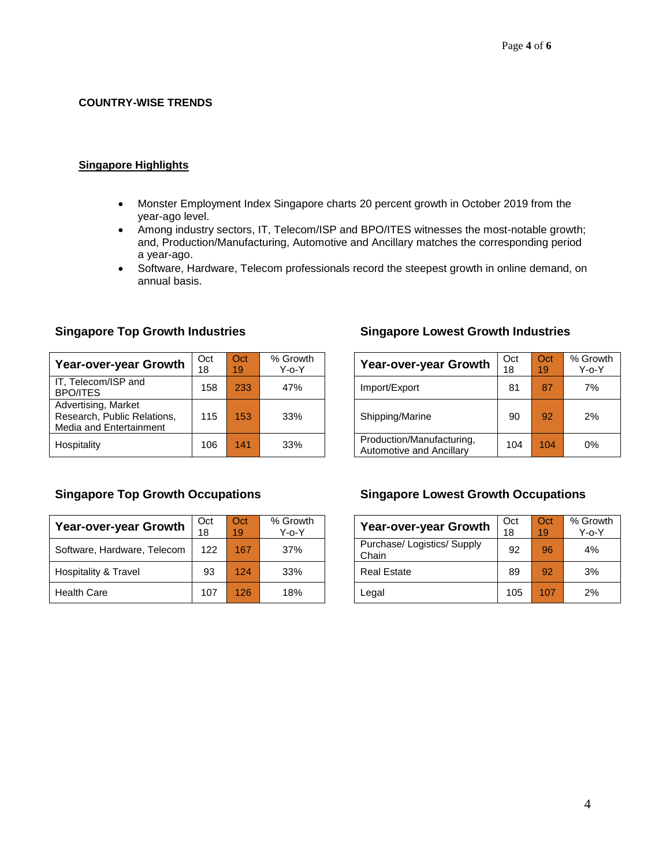# **COUNTRY-WISE TRENDS**

# **Singapore Highlights**

- Monster Employment Index Singapore charts 20 percent growth in October 2019 from the year-ago level.
- Among industry sectors, IT, Telecom/ISP and BPO/ITES witnesses the most-notable growth; and, Production/Manufacturing, Automotive and Ancillary matches the corresponding period a year-ago.
- Software, Hardware, Telecom professionals record the steepest growth in online demand, on annual basis.

| Year-over-year Growth                                                         | Oct<br>18 | Oct<br>19 | % Growth<br>$Y$ -0- $Y$ |               | <b>Year-over-year Growth</b>                          | Oct<br>18 | Oct<br>19 | % Gro |
|-------------------------------------------------------------------------------|-----------|-----------|-------------------------|---------------|-------------------------------------------------------|-----------|-----------|-------|
| IT, Telecom/ISP and<br><b>BPO/ITES</b>                                        | 158       | 233       | 47%                     | Import/Export |                                                       | 81        | 87        |       |
| Advertising, Market<br>Research, Public Relations,<br>Media and Entertainment | 115       | 153       | 33%                     |               | Shipping/Marine                                       | 90        | 92        |       |
| Hospitality                                                                   | 106       | 141       | 33%                     |               | Production/Manufacturing,<br>Automotive and Ancillary | 104       | 104       |       |

| Year-over-year Growth       | Oct<br>18 | Oct<br>19 | % Growth<br>$Y$ -o- $Y$ | <b>Year-over-year Growth</b>         | Oct<br>18 | Oct<br>19 | % Gro<br>$Y$ -o- |
|-----------------------------|-----------|-----------|-------------------------|--------------------------------------|-----------|-----------|------------------|
| Software, Hardware, Telecom | 122       | 167       | 37%                     | Purchase/ Logistics/ Supply<br>Chain | 92        | 96        | 4%               |
| Hospitality & Travel        | 93        | 124       | 33%                     | <b>Real Estate</b>                   | 89        | 92        | 3%               |
| <b>Health Care</b>          | 107       | 126       | 18%                     | Legal                                | 105       | 107       | 2%               |

# **Singapore Top Growth Industries Singapore Lowest Growth Industries**

| $\overline{\text{Det}}$<br>8 | Oct<br>19 | % Growth<br>$Y$ -o- $Y$ | <b>Year-over-year Growth</b>                          | Oct<br>18 | Oct<br>19 | % Growth<br>$Y$ -o- $Y$ |
|------------------------------|-----------|-------------------------|-------------------------------------------------------|-----------|-----------|-------------------------|
| 158                          | 233       | 47%                     | Import/Export                                         | 81        | 87        | 7%                      |
| 115                          | 153       | 33%                     | Shipping/Marine                                       | 90        | 92        | 2%                      |
| 106                          | 141       | 33%                     | Production/Manufacturing,<br>Automotive and Ancillary | 104       | 104       | $0\%$                   |

# **Singapore Top Growth Occupations Singapore Lowest Growth Occupations**

| <b>Year-over-year Growth</b>         | Oct<br>18 | Oct<br>19 | % Growth<br>$Y$ -o- $Y$ |
|--------------------------------------|-----------|-----------|-------------------------|
| Purchase/ Logistics/ Supply<br>Chain | 92        | 96        | 4%                      |
| <b>Real Estate</b>                   | 89        | 92        | 3%                      |
| Legal                                | 105       | 107       | 2%                      |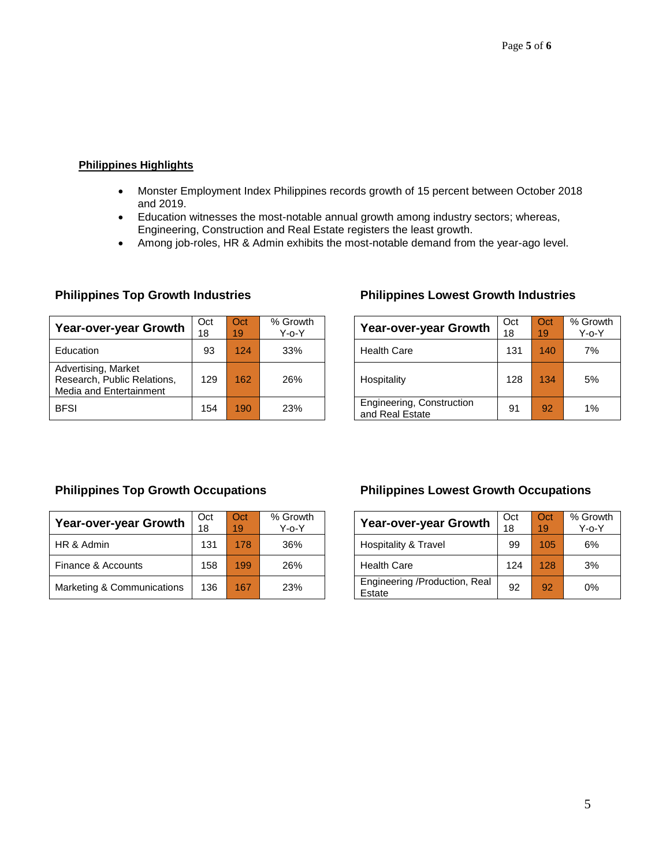# **Philippines Highlights**

- Monster Employment Index Philippines records growth of 15 percent between October 2018 and 2019.
- Education witnesses the most-notable annual growth among industry sectors; whereas, Engineering, Construction and Real Estate registers the least growth.
- Among job-roles, HR & Admin exhibits the most-notable demand from the year-ago level.

| <b>Year-over-year Growth</b>                                                  | Oct<br>18 | Oct<br>19 | % Growth<br>$Y$ -o- $Y$ | <b>Year-over-year Growth</b>                 | Oct<br>18 | Oct<br>19 | % Gro<br>Y-0- |
|-------------------------------------------------------------------------------|-----------|-----------|-------------------------|----------------------------------------------|-----------|-----------|---------------|
| Education                                                                     | 93        | 124       | 33%                     | <b>Health Care</b>                           | 131       | 140       | 7%            |
| Advertising, Market<br>Research, Public Relations,<br>Media and Entertainment | 129       | 162       | 26%                     | Hospitality                                  | 128       | 134       | 5%            |
| <b>BFSI</b>                                                                   | 154       | 190       | 23%                     | Engineering, Construction<br>and Real Estate | 91        | 92        | 1%            |

# **Philippines Top Growth Industries Philippines Lowest Growth Industries**

| <b>Oct</b><br>8 | Oct<br>19 | % Growth<br>$Y$ -o- $Y$ | Year-over-year Growth                        | Oct<br>18 | Oct<br>19 | % Growth<br>$Y$ -o- $Y$ |
|-----------------|-----------|-------------------------|----------------------------------------------|-----------|-----------|-------------------------|
| 93              | 124       | 33%                     | <b>Health Care</b>                           | 131       | 140       | 7%                      |
| 129             | 162       | 26%                     | Hospitality                                  | 128       | 134       | 5%                      |
| 154             | 190       | 23%                     | Engineering, Construction<br>and Real Estate | 91        | 92        | 1%                      |

| Year-over-year Growth      | Oct<br>18 | Oct<br>19 | % Growth<br>$Y$ -o- $Y$ | Year-over-year Growth                   | Oct<br>18 | Oct<br>19 | % Gro<br>Y-0- |
|----------------------------|-----------|-----------|-------------------------|-----------------------------------------|-----------|-----------|---------------|
| HR & Admin                 | 131       | 178       | 36%                     | Hospitality & Travel                    | 99        | 105       | 6%            |
| Finance & Accounts         | 158       | 199       | 26%                     | <b>Health Care</b>                      | 124       | 128       | 3%            |
| Marketing & Communications | 136       | 167       | 23%                     | Engineering /Production, Real<br>Estate | 92        | 92        | 0%            |

# **Philippines Top Growth Occupations Philippines Lowest Growth Occupations**

| <b>Year-over-year Growth</b>            | Oct<br>18 | Oct<br>19 | % Growth<br>$Y$ -o- $Y$ |
|-----------------------------------------|-----------|-----------|-------------------------|
| Hospitality & Travel                    | 99        | 105       | 6%                      |
| <b>Health Care</b>                      | 124       | 128       | 3%                      |
| Engineering /Production, Real<br>Estate | 92        | 92        | 0%                      |